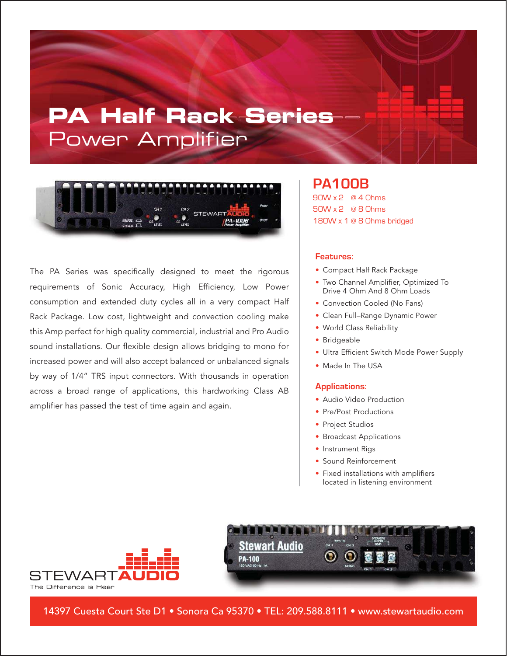# **PA Half Rack Series** Power Amplifier



The PA Series was specifically designed to meet the rigorous requirements of Sonic Accuracy, High Efficiency, Low Power consumption and extended duty cycles all in a very compact Half Rack Package. Low cost, lightweight and convection cooling make this Amp perfect for high quality commercial, industrial and Pro Audio sound installations. Our flexible design allows bridging to mono for increased power and will also accept balanced or unbalanced signals by way of 1/4" TRS input connectors. With thousands in operation across a broad range of applications, this hardworking Class AB amplifier has passed the test of time again and again.

### **PA100B** 90W x 2 @ 4 Ohms 50W x 2 @ 8 Ohms 180W x 1 @ 8 Ohms bridged

#### **Features:**

- Compact Half Rack Package
- Two Channel Amplifier, Optimized To Drive 4 Ohm And 8 Ohm Loads
- Convection Cooled (No Fans)
- Clean Full–Range Dynamic Power
- World Class Reliability
- Bridgeable
- Ultra Efficient Switch Mode Power Supply
- Made In The USA

#### **Applications:**

- Audio Video Production
- Pre/Post Productions
- Project Studios
- Broadcast Applications
- Instrument Rigs
- Sound Reinforcement
- Fixed installations with amplifiers located in listening environment



**Stewart Audio PA-100** 

14397 Cuesta Court Ste D1 • Sonora Ca 95370 • TEL: 209.588.8111 • www.stewartaudio.com